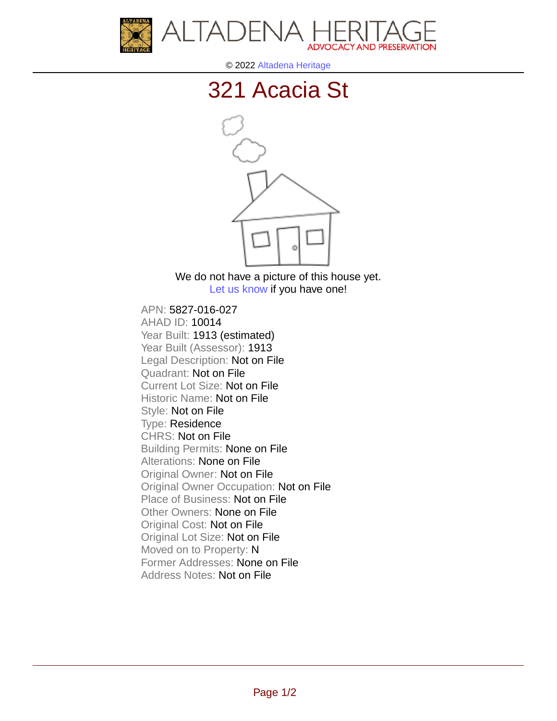



© 2022 [Altadena Heritage](http://altadenaheritage.org/)

## [321 Acacia St](ahad.altadenaheritagepdb.org/properties/10014)



We do not have a picture of this house yet. [Let us know](http://altadenaheritage.org/contact-us/) if you have one!

APN: 5827-016-027 [AHAD ID: 10014](ahad.altadenaheritagepdb.org/properties/10014) Year Built: 1913 (estimated) Year Built (Assessor): 1913 Legal Description: Not on File Quadrant: Not on File Current Lot Size: Not on File Historic Name: Not on File Style: Not on File Type: Residence CHRS: Not on File Building Permits: None on File Alterations: None on File Original Owner: Not on File Original Owner Occupation: Not on File Place of Business: Not on File Other Owners: None on File Original Cost: Not on File Original Lot Size: Not on File Moved on to Property: N Former Addresses: None on File Address Notes: Not on File